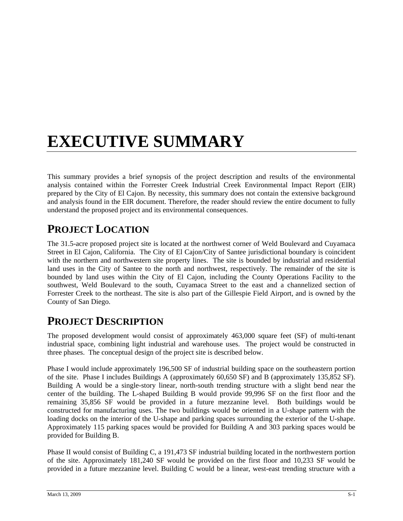# **EXECUTIVE SUMMARY**

This summary provides a brief synopsis of the project description and results of the environmental analysis contained within the Forrester Creek Industrial Creek Environmental Impact Report (EIR) prepared by the City of El Cajon. By necessity, this summary does not contain the extensive background and analysis found in the EIR document. Therefore, the reader should review the entire document to fully understand the proposed project and its environmental consequences.

# **PROJECT LOCATION**

The 31.5-acre proposed project site is located at the northwest corner of Weld Boulevard and Cuyamaca Street in El Cajon, California. The City of El Cajon/City of Santee jurisdictional boundary is coincident with the northern and northwestern site property lines. The site is bounded by industrial and residential land uses in the City of Santee to the north and northwest, respectively. The remainder of the site is bounded by land uses within the City of El Cajon, including the County Operations Facility to the southwest, Weld Boulevard to the south, Cuyamaca Street to the east and a channelized section of Forrester Creek to the northeast. The site is also part of the Gillespie Field Airport, and is owned by the County of San Diego.

# **PROJECT DESCRIPTION**

The proposed development would consist of approximately 463,000 square feet (SF) of multi-tenant industrial space, combining light industrial and warehouse uses. The project would be constructed in three phases. The conceptual design of the project site is described below.

Phase I would include approximately 196,500 SF of industrial building space on the southeastern portion of the site. Phase I includes Buildings A (approximately 60,650 SF) and B (approximately 135,852 SF). Building A would be a single-story linear, north-south trending structure with a slight bend near the center of the building. The L-shaped Building B would provide 99,996 SF on the first floor and the remaining 35,856 SF would be provided in a future mezzanine level. Both buildings would be constructed for manufacturing uses. The two buildings would be oriented in a U-shape pattern with the loading docks on the interior of the U-shape and parking spaces surrounding the exterior of the U-shape. Approximately 115 parking spaces would be provided for Building A and 303 parking spaces would be provided for Building B.

Phase II would consist of Building C, a 191,473 SF industrial building located in the northwestern portion of the site. Approximately 181,240 SF would be provided on the first floor and 10,233 SF would be provided in a future mezzanine level. Building C would be a linear, west-east trending structure with a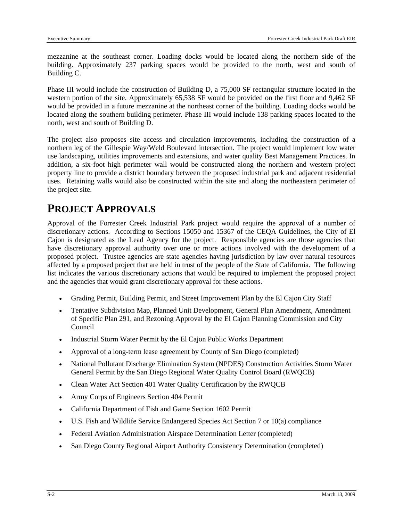mezzanine at the southeast corner. Loading docks would be located along the northern side of the building. Approximately 237 parking spaces would be provided to the north, west and south of Building C.

Phase III would include the construction of Building D, a 75,000 SF rectangular structure located in the western portion of the site. Approximately 65,538 SF would be provided on the first floor and 9,462 SF would be provided in a future mezzanine at the northeast corner of the building. Loading docks would be located along the southern building perimeter. Phase III would include 138 parking spaces located to the north, west and south of Building D.

The project also proposes site access and circulation improvements, including the construction of a northern leg of the Gillespie Way/Weld Boulevard intersection. The project would implement low water use landscaping, utilities improvements and extensions, and water quality Best Management Practices. In addition, a six-foot high perimeter wall would be constructed along the northern and western project property line to provide a district boundary between the proposed industrial park and adjacent residential uses. Retaining walls would also be constructed within the site and along the northeastern perimeter of the project site.

## **PROJECT APPROVALS**

Approval of the Forrester Creek Industrial Park project would require the approval of a number of discretionary actions. According to Sections 15050 and 15367 of the CEQA Guidelines, the City of El Cajon is designated as the Lead Agency for the project. Responsible agencies are those agencies that have discretionary approval authority over one or more actions involved with the development of a proposed project. Trustee agencies are state agencies having jurisdiction by law over natural resources affected by a proposed project that are held in trust of the people of the State of California. The following list indicates the various discretionary actions that would be required to implement the proposed project and the agencies that would grant discretionary approval for these actions.

- Grading Permit, Building Permit, and Street Improvement Plan by the El Cajon City Staff
- Tentative Subdivision Map, Planned Unit Development, General Plan Amendment, Amendment of Specific Plan 291, and Rezoning Approval by the El Cajon Planning Commission and City Council
- Industrial Storm Water Permit by the El Cajon Public Works Department
- Approval of a long-term lease agreement by County of San Diego (completed)
- National Pollutant Discharge Elimination System (NPDES) Construction Activities Storm Water General Permit by the San Diego Regional Water Quality Control Board (RWQCB)
- Clean Water Act Section 401 Water Quality Certification by the RWQCB
- Army Corps of Engineers Section 404 Permit
- California Department of Fish and Game Section 1602 Permit
- U.S. Fish and Wildlife Service Endangered Species Act Section 7 or 10(a) compliance
- Federal Aviation Administration Airspace Determination Letter (completed)
- San Diego County Regional Airport Authority Consistency Determination (completed)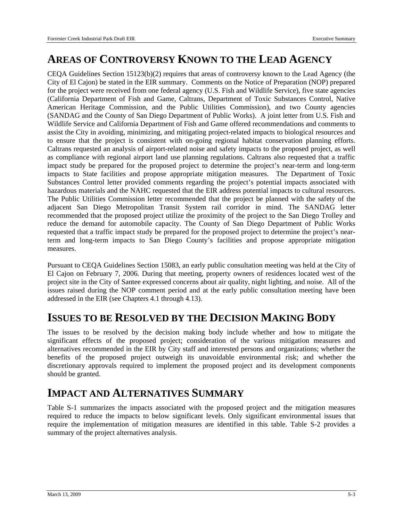### **AREAS OF CONTROVERSY KNOWN TO THE LEAD AGENCY**

CEQA Guidelines Section 15123(b)(2) requires that areas of controversy known to the Lead Agency (the City of El Cajon) be stated in the EIR summary. Comments on the Notice of Preparation (NOP) prepared for the project were received from one federal agency (U.S. Fish and Wildlife Service), five state agencies (California Department of Fish and Game, Caltrans, Department of Toxic Substances Control, Native American Heritage Commission, and the Public Utilities Commission), and two County agencies (SANDAG and the County of San Diego Department of Public Works). A joint letter from U.S. Fish and Wildlife Service and California Department of Fish and Game offered recommendations and comments to assist the City in avoiding, minimizing, and mitigating project-related impacts to biological resources and to ensure that the project is consistent with on-going regional habitat conservation planning efforts. Caltrans requested an analysis of airport-related noise and safety impacts to the proposed project, as well as compliance with regional airport land use planning regulations. Caltrans also requested that a traffic impact study be prepared for the proposed project to determine the project's near-term and long-term impacts to State facilities and propose appropriate mitigation measures. The Department of Toxic Substances Control letter provided comments regarding the project's potential impacts associated with hazardous materials and the NAHC requested that the EIR address potential impacts to cultural resources. The Public Utilities Commission letter recommended that the project be planned with the safety of the adjacent San Diego Metropolitan Transit System rail corridor in mind. The SANDAG letter recommended that the proposed project utilize the proximity of the project to the San Diego Trolley and reduce the demand for automobile capacity. The County of San Diego Department of Public Works requested that a traffic impact study be prepared for the proposed project to determine the project's nearterm and long-term impacts to San Diego County's facilities and propose appropriate mitigation measures.

Pursuant to CEQA Guidelines Section 15083, an early public consultation meeting was held at the City of El Cajon on February 7, 2006. During that meeting, property owners of residences located west of the project site in the City of Santee expressed concerns about air quality, night lighting, and noise. All of the issues raised during the NOP comment period and at the early public consultation meeting have been addressed in the EIR (see Chapters 4.1 through 4.13).

#### **ISSUES TO BE RESOLVED BY THE DECISION MAKING BODY**

The issues to be resolved by the decision making body include whether and how to mitigate the significant effects of the proposed project; consideration of the various mitigation measures and alternatives recommended in the EIR by City staff and interested persons and organizations; whether the benefits of the proposed project outweigh its unavoidable environmental risk; and whether the discretionary approvals required to implement the proposed project and its development components should be granted.

# **IMPACT AND ALTERNATIVES SUMMARY**

Table S-1 summarizes the impacts associated with the proposed project and the mitigation measures required to reduce the impacts to below significant levels. Only significant environmental issues that require the implementation of mitigation measures are identified in this table. Table S-2 provides a summary of the project alternatives analysis.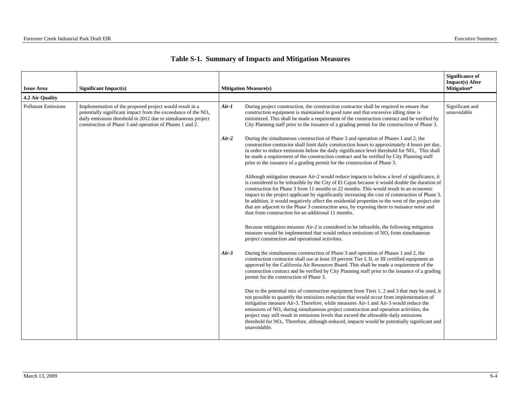|  |  |  |  | Table S-1. Summary of Impacts and Mitigation Measures |  |
|--|--|--|--|-------------------------------------------------------|--|
|--|--|--|--|-------------------------------------------------------|--|

| <b>Issue Area</b>          |                                                                                                                                                                                                                                                          |         |                                                                                                                                                                                                                                                                                                                                                                                                                                                                                                                                                                                                                                                        | <b>Significance of</b><br>Impact(s) After<br>Mitigation* |
|----------------------------|----------------------------------------------------------------------------------------------------------------------------------------------------------------------------------------------------------------------------------------------------------|---------|--------------------------------------------------------------------------------------------------------------------------------------------------------------------------------------------------------------------------------------------------------------------------------------------------------------------------------------------------------------------------------------------------------------------------------------------------------------------------------------------------------------------------------------------------------------------------------------------------------------------------------------------------------|----------------------------------------------------------|
| 4.2 Air Quality            | Significant Impact(s)                                                                                                                                                                                                                                    |         | <b>Mitigation Measure(s)</b>                                                                                                                                                                                                                                                                                                                                                                                                                                                                                                                                                                                                                           |                                                          |
| <b>Pollutant Emissions</b> | Implementation of the proposed project would result in a<br>potentially significant impact from the exceedance of the $NOx$<br>daily emissions threshold in 2012 due to simultaneous project<br>construction of Phase 3 and operation of Phases 1 and 2. | $Air-1$ | During project construction, the construction contractor shall be required to ensure that<br>construction equipment is maintained in good tune and that excessive idling time is<br>minimized. This shall be made a requirement of the construction contract and be verified by<br>City Planning staff prior to the issuance of a grading permit for the construction of Phase 3.                                                                                                                                                                                                                                                                      | Significant and<br>unavoidable                           |
|                            |                                                                                                                                                                                                                                                          | $Air-2$ | During the simultaneous construction of Phase 3 and operation of Phases 1 and 2, the<br>construction contractor shall limit daily construction hours to approximately 4 hours per day,<br>in order to reduce emissions below the daily significance level threshold for NO <sub>x</sub> . This shall<br>be made a requirement of the construction contract and be verified by City Planning staff<br>prior to the issuance of a grading permit for the construction of Phase 3.                                                                                                                                                                        |                                                          |
|                            |                                                                                                                                                                                                                                                          |         | Although mitigation measure Air-2 would reduce impacts to below a level of significance, it<br>is considered to be infeasible by the City of El Cajon because it would double the duration of<br>construction for Phase 3 from 11 months to 22 months. This would result in an economic<br>impact to the project applicant by significantly increasing the cost of construction of Phase 3.<br>In addition, it would negatively affect the residential properties to the west of the project site<br>that are adjacent to the Phase 3 construction area, by exposing them to nuisance noise and<br>dust from construction for an additional 11 months. |                                                          |
|                            |                                                                                                                                                                                                                                                          |         | Because mitigation measure Air-2 is considered to be infeasible, the following mitigation<br>measure would be implemented that would reduce emissions of $NOx$ from simultaneous<br>project construction and operational activities.                                                                                                                                                                                                                                                                                                                                                                                                                   |                                                          |
|                            |                                                                                                                                                                                                                                                          | $Air-3$ | During the simultaneous construction of Phase 3 and operation of Phases 1 and 2, the<br>construction contractor shall use at least 10 percent Tier I, II, or III certified equipment as<br>approved by the California Air Resources Board. This shall be made a requirement of the<br>construction contract and be verified by City Planning staff prior to the issuance of a grading<br>permit for the construction of Phase 3.                                                                                                                                                                                                                       |                                                          |
|                            |                                                                                                                                                                                                                                                          |         | Due to the potential mix of construction equipment from Tiers 1, 2 and 3 that may be used, it<br>not possible to quantify the emissions reduction that would occur from implementation of<br>mitigation measure Air-3. Therefore, while measures Air-1 and Air-3 would reduce the<br>emissions of NO <sub>x</sub> during simultaneous project construction and operation activities, the<br>project may still result in emissions levels that exceed the allowable daily emissions<br>threshold for NO <sub>x</sub> . Therefore, although reduced, impacts would be potentially significant and<br>unavoidable.                                        |                                                          |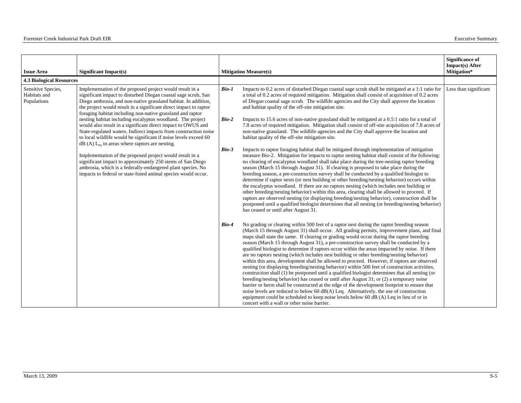| <b>Issue Area</b>                                 | Significant Impact(s)                                                                                                                                                                                                                                                                                                           |         | <b>Mitigation Measure(s)</b>                                                                                                                                                                                                                                                                                                                                                                                                                                                                                                                                                                                                                                                                                                                                                                                                                                                                                                                                                                                                                                                                                                                                                                                                                                                                                   | <b>Significance of</b><br><b>Impact(s)</b> After<br>Mitigation* |
|---------------------------------------------------|---------------------------------------------------------------------------------------------------------------------------------------------------------------------------------------------------------------------------------------------------------------------------------------------------------------------------------|---------|----------------------------------------------------------------------------------------------------------------------------------------------------------------------------------------------------------------------------------------------------------------------------------------------------------------------------------------------------------------------------------------------------------------------------------------------------------------------------------------------------------------------------------------------------------------------------------------------------------------------------------------------------------------------------------------------------------------------------------------------------------------------------------------------------------------------------------------------------------------------------------------------------------------------------------------------------------------------------------------------------------------------------------------------------------------------------------------------------------------------------------------------------------------------------------------------------------------------------------------------------------------------------------------------------------------|-----------------------------------------------------------------|
| <b>4.3 Biological Resources</b>                   |                                                                                                                                                                                                                                                                                                                                 |         |                                                                                                                                                                                                                                                                                                                                                                                                                                                                                                                                                                                                                                                                                                                                                                                                                                                                                                                                                                                                                                                                                                                                                                                                                                                                                                                |                                                                 |
| Sensitive Species,<br>Habitats and<br>Populations | Implementation of the proposed project would result in a<br>significant impact to disturbed Diegan coastal sage scrub, San<br>Diego ambrosia, and non-native grassland habitat. In addition,<br>the project would result in a significant direct impact to raptor<br>foraging habitat including non-native grassland and raptor | $Bio-1$ | Impacts to 0.2 acres of disturbed Diegan coastal sage scrub shall be mitigated at a 1:1 ratio for<br>a total of 0.2 acres of required mitigation. Mitigation shall consist of acquisition of 0.2 acres<br>of Diegan coastal sage scrub. The wildlife agencies and the City shall approve the location<br>and habitat quality of the off-site mitigation site.                                                                                                                                                                                                                                                                                                                                                                                                                                                                                                                                                                                                                                                                                                                                                                                                                                                                                                                                                  | Less than significant                                           |
|                                                   | nesting habitat including eucalyptus woodland. The project<br>would also result in a significant direct impact to OWUS and<br>State-regulated waters. Indirect impacts from construction noise<br>to local wildlife would be significant if noise levels exceed 60<br>$dB(A) L_{eq}$ in areas where raptors are nesting.        | $Bio-2$ | Impacts to 15.6 acres of non-native grassland shall be mitigated at a 0.5:1 ratio for a total of<br>7.8 acres of required mitigation. Mitigation shall consist of off-site acquisition of 7.8 acres of<br>non-native grassland. The wildlife agencies and the City shall approve the location and<br>habitat quality of the off-site mitigation site.                                                                                                                                                                                                                                                                                                                                                                                                                                                                                                                                                                                                                                                                                                                                                                                                                                                                                                                                                          |                                                                 |
|                                                   | Implementation of the proposed project would result in a<br>significant impact to approximately 250 stems of San Diego<br>ambrosia, which is a federally-endangered plant species. No<br>impacts to federal or state-listed animal species would occur.                                                                         | $Bio-3$ | Impacts to raptor foraging habitat shall be mitigated through implementation of mitigation<br>measure Bio-2. Mitigation for impacts to raptor nesting habitat shall consist of the following:<br>no clearing of eucalyptus woodland shall take place during the tree-nesting raptor breeding<br>season (March 15 through August 31). If clearing is proposed to take place during the<br>breeding season, a pre-construction survey shall be conducted by a qualified biologist to<br>determine if raptor nests (or nest building or other breeding/nesting behavior) occurs within<br>the eucalyptus woodland. If there are no raptors nesting (which includes nest building or<br>other breeding/nesting behavior) within this area, clearing shall be allowed to proceed. If<br>raptors are observed nesting (or displaying breeding/nesting behavior), construction shall be<br>postponed until a qualified biologist determines that all nesting (or breeding/nesting behavior)<br>has ceased or until after August 31.                                                                                                                                                                                                                                                                                   |                                                                 |
|                                                   |                                                                                                                                                                                                                                                                                                                                 | Bio-4   | No grading or clearing within 500 feet of a raptor nest during the raptor breeding season<br>(March 15 through August 31) shall occur. All grading permits, improvement plans, and final<br>maps shall state the same. If clearing or grading would occur during the raptor breeding<br>season (March 15 through August 31), a pre-construction survey shall be conducted by a<br>qualified biologist to determine if raptors occur within the areas impacted by noise. If there<br>are no raptors nesting (which includes nest building or other breeding/nesting behavior)<br>within this area, development shall be allowed to proceed. However, if raptors are observed<br>nesting (or displaying breeding/nesting behavior) within 500 feet of construction activities,<br>construction shall (1) be postponed until a qualified biologist determines that all nesting (or<br>breeding/nesting behavior) has ceased or until after August 31; or (2) a temporary noise<br>barrier or berm shall be constructed at the edge of the development footprint to ensure that<br>noise levels are reduced to below 60 dB(A) Leq. Alternatively, the use of construction<br>equipment could be scheduled to keep noise levels below 60 dB (A) Leq in lieu of or in<br>concert with a wall or other noise barrier. |                                                                 |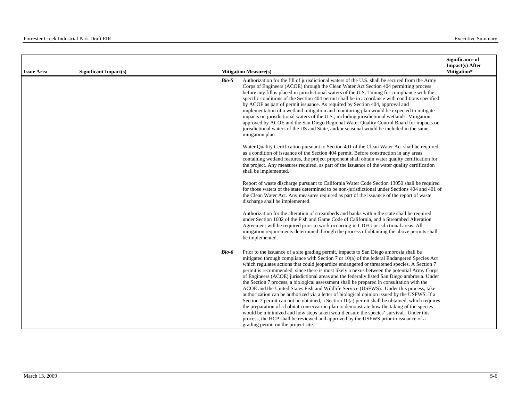| <b>Issue Area</b> | <b>Significant Impact(s)</b> |       | <b>Mitigation Measure(s)</b>                                                                                                                                                                                                                                                                                                                                                                                                                                                                                                                                                                                                                                                                                                                                                                                                                                                                                                                                                                                                                                                                                                                                                                    | <b>Significance of</b><br><b>Impact(s)</b> After<br>Mitigation* |
|-------------------|------------------------------|-------|-------------------------------------------------------------------------------------------------------------------------------------------------------------------------------------------------------------------------------------------------------------------------------------------------------------------------------------------------------------------------------------------------------------------------------------------------------------------------------------------------------------------------------------------------------------------------------------------------------------------------------------------------------------------------------------------------------------------------------------------------------------------------------------------------------------------------------------------------------------------------------------------------------------------------------------------------------------------------------------------------------------------------------------------------------------------------------------------------------------------------------------------------------------------------------------------------|-----------------------------------------------------------------|
|                   |                              | Bio-5 | Authorization for the fill of jurisdictional waters of the U.S. shall be secured from the Army<br>Corps of Engineers (ACOE) through the Clean Water Act Section 404 permitting process<br>before any fill is placed in jurisdictional waters of the U.S. Timing for compliance with the<br>specific conditions of the Section 404 permit shall be in accordance with conditions specified<br>by ACOE as part of permit issuance. As required by Section 404, approval and<br>implementation of a wetland mitigation and monitoring plan would be expected to mitigate<br>impacts on jurisdictional waters of the U.S., including jurisdictional wetlands. Mitigation<br>approved by ACOE and the San Diego Regional Water Quality Control Board for impacts on<br>jurisdictional waters of the US and State, and/or seasonal would be included in the same<br>mitigation plan.                                                                                                                                                                                                                                                                                                                  |                                                                 |
|                   |                              |       | Water Quality Certification pursuant to Section 401 of the Clean Water Act shall be required<br>as a condition of issuance of the Section 404 permit. Before construction in any areas<br>containing wetland features, the project proponent shall obtain water quality certification for<br>the project. Any measures required, as part of the issuance of the water quality certification<br>shall be implemented.                                                                                                                                                                                                                                                                                                                                                                                                                                                                                                                                                                                                                                                                                                                                                                            |                                                                 |
|                   |                              |       | Report of waste discharge pursuant to California Water Code Section 13050 shall be required<br>for those waters of the state determined to be non-jurisdictional under Sections 404 and 401 of<br>the Clean Water Act. Any measures required as part of the issuance of the report of waste<br>discharge shall be implemented.                                                                                                                                                                                                                                                                                                                                                                                                                                                                                                                                                                                                                                                                                                                                                                                                                                                                  |                                                                 |
|                   |                              |       | Authorization for the alteration of streambeds and banks within the state shall be required<br>under Section 1602 of the Fish and Game Code of California, and a Streambed Alteration<br>Agreement will be required prior to work occurring in CDFG jurisdictional areas. All<br>mitigation requirements determined through the process of obtaining the above permits shall<br>be implemented.                                                                                                                                                                                                                                                                                                                                                                                                                                                                                                                                                                                                                                                                                                                                                                                                 |                                                                 |
|                   |                              | Bio-6 | Prior to the issuance of a site grading permit, impacts to San Diego ambrosia shall be<br>mitigated through compliance with Section 7 or 10(a) of the federal Endangered Species Act<br>which regulates actions that could jeopardize endangered or threatened species. A Section 7<br>permit is recommended, since there is most likely a nexus between the potential Army Corps<br>of Engineers (ACOE) jurisdictional areas and the federally listed San Diego ambrosia. Under<br>the Section 7 process, a biological assessment shall be prepared in consultation with the<br>ACOE and the United States Fish and Wildlife Service (USFWS). Under this process, take<br>authorization can be authorized via a letter of biological opinion issued by the USFWS. If a<br>Section 7 permit can not be obtained, a Section 10(a) permit shall be obtained, which requires<br>the preparation of a habitat conservation plan to demonstrate how the taking of the species<br>would be minimized and how steps taken would ensure the species' survival. Under this<br>process, the HCP shall be reviewed and approved by the USFWS prior to issuance of a<br>grading permit on the project site. |                                                                 |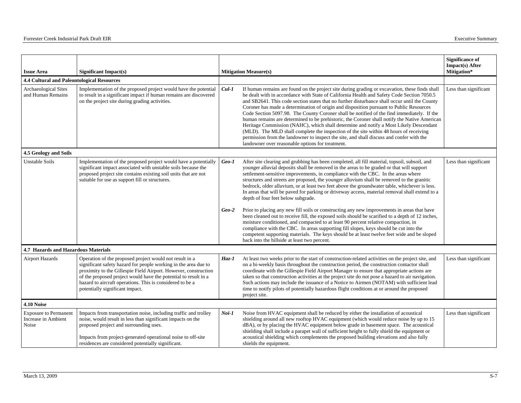| <b>Issue Area</b>                                            | <b>Significant Impact(s)</b>                                                                                                                                                                                                                                                                                                                                     |                    | <b>Mitigation Measure(s)</b>                                                                                                                                                                                                                                                                                                                                                                                                                                                                                                                                                                                                                                                                                                                                                                                                                                                                                             | <b>Significance of</b><br><b>Impact(s)</b> After<br>Mitigation* |
|--------------------------------------------------------------|------------------------------------------------------------------------------------------------------------------------------------------------------------------------------------------------------------------------------------------------------------------------------------------------------------------------------------------------------------------|--------------------|--------------------------------------------------------------------------------------------------------------------------------------------------------------------------------------------------------------------------------------------------------------------------------------------------------------------------------------------------------------------------------------------------------------------------------------------------------------------------------------------------------------------------------------------------------------------------------------------------------------------------------------------------------------------------------------------------------------------------------------------------------------------------------------------------------------------------------------------------------------------------------------------------------------------------|-----------------------------------------------------------------|
| 4.4 Cultural and Paleontological Resources                   |                                                                                                                                                                                                                                                                                                                                                                  |                    |                                                                                                                                                                                                                                                                                                                                                                                                                                                                                                                                                                                                                                                                                                                                                                                                                                                                                                                          |                                                                 |
| Archaeological Sites<br>and Human Remains                    | Implementation of the proposed project would have the potential<br>to result in a significant impact if human remains are discovered<br>on the project site during grading activities.                                                                                                                                                                           | $Cul-1$            | If human remains are found on the project site during grading or excavation, these finds shall<br>be dealt with in accordance with State of California Health and Safety Code Section 7050.5<br>and SB2641. This code section states that no further disturbance shall occur until the County<br>Coroner has made a determination of origin and disposition pursuant to Public Resources<br>Code Section 5097.98. The County Coroner shall be notified of the find immediately. If the<br>human remains are determined to be prehistoric, the Coroner shall notify the Native American<br>Heritage Commission (NAHC), which shall determine and notify a Most Likely Descendant<br>(MLD). The MLD shall complete the inspection of the site within 48 hours of receiving<br>permission from the landowner to inspect the site, and shall discuss and confer with the<br>landowner over reasonable options for treatment. | Less than significant                                           |
| 4.5 Geology and Soils                                        |                                                                                                                                                                                                                                                                                                                                                                  |                    |                                                                                                                                                                                                                                                                                                                                                                                                                                                                                                                                                                                                                                                                                                                                                                                                                                                                                                                          |                                                                 |
| <b>Unstable Soils</b>                                        | Implementation of the proposed project would have a potentially<br>significant impact associated with unstable soils because the<br>proposed project site contains existing soil units that are not<br>suitable for use as support fill or structures.                                                                                                           | $Geo-I$<br>$Geo-2$ | After site clearing and grubbing has been completed, all fill material, topsoil, subsoil, and<br>younger alluvial deposits shall be removed in the areas to be graded or that will support<br>settlement-sensitive improvements, in compliance with the CBC. In the areas where<br>structures and streets are proposed, the younger alluvium shall be removed to the granitic<br>bedrock, older alluvium, or at least two feet above the groundwater table, whichever is less.<br>In areas that will be paved for parking or driveway access, material removal shall extend to a<br>depth of four feet below subgrade.<br>Prior to placing any new fill soils or constructing any new improvements in areas that have<br>been cleaned out to receive fill, the exposed soils should be scarified to a depth of 12 inches,                                                                                                | Less than significant                                           |
|                                                              |                                                                                                                                                                                                                                                                                                                                                                  |                    | moisture conditioned, and compacted to at least 90 percent relative compaction, in<br>compliance with the CBC. In areas supporting fill slopes, keys should be cut into the<br>competent supporting materials. The keys should be at least twelve feet wide and be sloped<br>back into the hillside at least two percent.                                                                                                                                                                                                                                                                                                                                                                                                                                                                                                                                                                                                |                                                                 |
| 4.7 Hazards and Hazardous Materials                          |                                                                                                                                                                                                                                                                                                                                                                  |                    |                                                                                                                                                                                                                                                                                                                                                                                                                                                                                                                                                                                                                                                                                                                                                                                                                                                                                                                          |                                                                 |
| <b>Airport Hazards</b>                                       | Operation of the proposed project would not result in a<br>significant safety hazard for people working in the area due to<br>proximity to the Gillespie Field Airport. However, construction<br>of the proposed project would have the potential to result in a<br>hazard to aircraft operations. This is considered to be a<br>potentially significant impact. | $Haz-1$            | At least two weeks prior to the start of construction-related activities on the project site, and<br>on a bi-weekly basis throughout the construction period, the construction contactor shall<br>coordinate with the Gillespie Field Airport Manager to ensure that appropriate actions are<br>taken so that construction activities at the project site do not pose a hazard to air navigation.<br>Such actions may include the issuance of a Notice to Airmen (NOTAM) with sufficient lead<br>time to notify pilots of potentially hazardous flight conditions at or around the proposed<br>project site.                                                                                                                                                                                                                                                                                                             | Less than significant                                           |
| <b>4.10 Noise</b>                                            |                                                                                                                                                                                                                                                                                                                                                                  |                    |                                                                                                                                                                                                                                                                                                                                                                                                                                                                                                                                                                                                                                                                                                                                                                                                                                                                                                                          |                                                                 |
| <b>Exposure to Permanent</b><br>Increase in Ambient<br>Noise | Impacts from transportation noise, including traffic and trolley<br>noise, would result in less than significant impacts on the<br>proposed project and surrounding uses.<br>Impacts from project-generated operational noise to off-site<br>residences are considered potentially significant.                                                                  | Noi-1              | Noise from HVAC equipment shall be reduced by either the installation of acoustical<br>shielding around all new rooftop HVAC equipment (which would reduce noise by up to 15<br>dBA), or by placing the HVAC equipment below grade in basement space. The acoustical<br>shielding shall include a parapet wall of sufficient height to fully shield the equipment or<br>acoustical shielding which complements the proposed building elevations and also fully<br>shields the equipment.                                                                                                                                                                                                                                                                                                                                                                                                                                 | Less than significant                                           |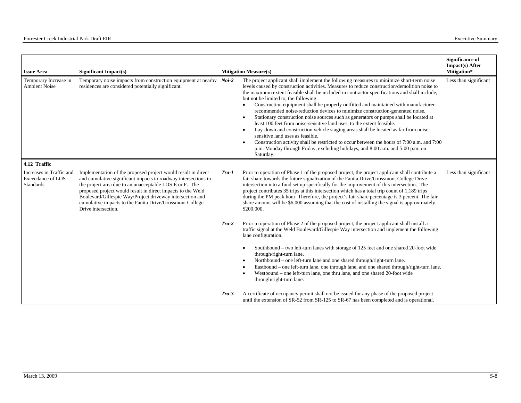| <b>Issue Area</b>                                                        | Significant Impact(s)                                                                                                                                                                                                                                                                                                                                                                                     |                    | <b>Mitigation Measure(s)</b>                                                                                                                                                                                                                                                                                                                                                                                                                                                                                                                                                                                                                                                                                                                                                                                                                                                                                                                                                                                                       | <b>Significance of</b><br>Impact(s) After<br>Mitigation* |
|--------------------------------------------------------------------------|-----------------------------------------------------------------------------------------------------------------------------------------------------------------------------------------------------------------------------------------------------------------------------------------------------------------------------------------------------------------------------------------------------------|--------------------|------------------------------------------------------------------------------------------------------------------------------------------------------------------------------------------------------------------------------------------------------------------------------------------------------------------------------------------------------------------------------------------------------------------------------------------------------------------------------------------------------------------------------------------------------------------------------------------------------------------------------------------------------------------------------------------------------------------------------------------------------------------------------------------------------------------------------------------------------------------------------------------------------------------------------------------------------------------------------------------------------------------------------------|----------------------------------------------------------|
| Temporary Increase in<br><b>Ambient Noise</b>                            | Temporary noise impacts from construction equipment at nearby<br>residences are considered potentially significant.                                                                                                                                                                                                                                                                                       | $Noi-2$            | The project applicant shall implement the following measures to minimize short-term noise<br>levels caused by construction activities. Measures to reduce construction/demolition noise to<br>the maximum extent feasible shall be included in contractor specifications and shall include,<br>but not be limited to, the following:<br>Construction equipment shall be properly outfitted and maintained with manufacturer-<br>recommended noise-reduction devices to minimize construction-generated noise.<br>Stationary construction noise sources such as generators or pumps shall be located at<br>$\bullet$<br>least 100 feet from noise-sensitive land uses, to the extent feasible.<br>Lay-down and construction vehicle staging areas shall be located as far from noise-<br>$\bullet$<br>sensitive land uses as feasible.<br>Construction activity shall be restricted to occur between the hours of 7:00 a.m. and 7:00<br>p.m. Monday through Friday, excluding holidays, and 8:00 a.m. and 5:00 p.m. on<br>Saturday. | Less than significant                                    |
| 4.12 Traffic                                                             |                                                                                                                                                                                                                                                                                                                                                                                                           |                    |                                                                                                                                                                                                                                                                                                                                                                                                                                                                                                                                                                                                                                                                                                                                                                                                                                                                                                                                                                                                                                    |                                                          |
| Increases in Traffic and<br><b>Exceedance of LOS</b><br><b>Standards</b> | Implementation of the proposed project would result in direct<br>and cumulative significant impacts to roadway intersections in<br>the project area due to an unacceptable LOS E or F. The<br>proposed project would result in direct impacts to the Weld<br>Boulevard/Gillespie Way/Project driveway intersection and<br>cumulative impacts to the Fanita Drive/Grossmont College<br>Drive intersection. | $Tra-1$            | Prior to operation of Phase 1 of the proposed project, the project applicant shall contribute a<br>fair share towards the future signalization of the Fanita Drive/Grossmont College Drive<br>intersection into a fund set up specifically for the improvement of this intersection. The<br>project contributes 35 trips at this intersection which has a total trip count of 1,189 trips<br>during the PM peak hour. Therefore, the project's fair share percentage is 3 percent. The fair<br>share amount will be \$6,000 assuming that the cost of installing the signal is approximately<br>\$200,000.                                                                                                                                                                                                                                                                                                                                                                                                                         | Less than significant                                    |
|                                                                          |                                                                                                                                                                                                                                                                                                                                                                                                           | $Tra-2$<br>$Tra-3$ | Prior to operation of Phase 2 of the proposed project, the project applicant shall install a<br>traffic signal at the Weld Boulevard/Gillespie Way intersection and implement the following<br>lane configuration.<br>Southbound - two left-turn lanes with storage of 125 feet and one shared 20-foot wide<br>through/right-turn lane.<br>Northbound - one left-turn lane and one shared through/right-turn lane.<br>Eastbound - one left-turn lane, one through lane, and one shared through/right-turn lane.<br>Westbound – one left-turn lane, one thru lane, and one shared 20-foot wide<br>through/right-turn lane.<br>A certificate of occupancy permit shall not be issued for any phase of the proposed project<br>until the extension of SR-52 from SR-125 to SR-67 has been completed and is operational.                                                                                                                                                                                                               |                                                          |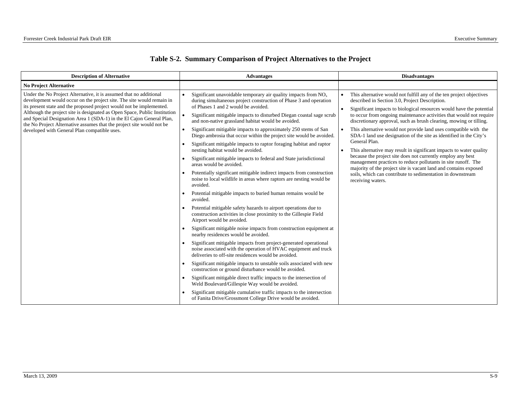| Table S-2. Summary Comparison of Project Alternatives to the Project |  |
|----------------------------------------------------------------------|--|
|----------------------------------------------------------------------|--|

| <b>Description of Alternative</b>                                                                                                                                                                                                                                                                                                                                                                                                                                                                 | <b>Advantages</b>                                                                                                                                                                                                                                                                                                                                                                                                                                                                                                                                                                                                                                                                                                                                                                                                                                                                                                                                                                                                                                                                                                                                                                                                                                                                                                                                                                                                                                                                                                                                                                                                                                            | <b>Disadvantages</b>                                                                                                                                                                                                                                                                                                                                                                                                                                                                                                                                                                                                                                                                                                                                                                                                                                                                                                     |  |
|---------------------------------------------------------------------------------------------------------------------------------------------------------------------------------------------------------------------------------------------------------------------------------------------------------------------------------------------------------------------------------------------------------------------------------------------------------------------------------------------------|--------------------------------------------------------------------------------------------------------------------------------------------------------------------------------------------------------------------------------------------------------------------------------------------------------------------------------------------------------------------------------------------------------------------------------------------------------------------------------------------------------------------------------------------------------------------------------------------------------------------------------------------------------------------------------------------------------------------------------------------------------------------------------------------------------------------------------------------------------------------------------------------------------------------------------------------------------------------------------------------------------------------------------------------------------------------------------------------------------------------------------------------------------------------------------------------------------------------------------------------------------------------------------------------------------------------------------------------------------------------------------------------------------------------------------------------------------------------------------------------------------------------------------------------------------------------------------------------------------------------------------------------------------------|--------------------------------------------------------------------------------------------------------------------------------------------------------------------------------------------------------------------------------------------------------------------------------------------------------------------------------------------------------------------------------------------------------------------------------------------------------------------------------------------------------------------------------------------------------------------------------------------------------------------------------------------------------------------------------------------------------------------------------------------------------------------------------------------------------------------------------------------------------------------------------------------------------------------------|--|
| <b>No Project Alternative</b>                                                                                                                                                                                                                                                                                                                                                                                                                                                                     |                                                                                                                                                                                                                                                                                                                                                                                                                                                                                                                                                                                                                                                                                                                                                                                                                                                                                                                                                                                                                                                                                                                                                                                                                                                                                                                                                                                                                                                                                                                                                                                                                                                              |                                                                                                                                                                                                                                                                                                                                                                                                                                                                                                                                                                                                                                                                                                                                                                                                                                                                                                                          |  |
| Under the No Project Alternative, it is assumed that no additional<br>development would occur on the project site. The site would remain in<br>its present state and the proposed project would not be implemented.<br>Although the project site is designated as Open Space, Public Institution<br>and Special Designation Area 1 (SDA-1) in the El Cajon General Plan,<br>the No Project Alternative assumes that the project site would not be<br>developed with General Plan compatible uses. | Significant unavoidable temporary air quality impacts from $NOx$<br>during simultaneous project construction of Phase 3 and operation<br>of Phases 1 and 2 would be avoided.<br>Significant mitigable impacts to disturbed Diegan coastal sage scrub<br>and non-native grassland habitat would be avoided.<br>Significant mitigable impacts to approximately 250 stems of San<br>$\bullet$<br>Diego ambrosia that occur within the project site would be avoided.<br>Significant mitigable impacts to raptor foraging habitat and raptor<br>nesting habitat would be avoided.<br>Significant mitigable impacts to federal and State jurisdictional<br>areas would be avoided.<br>Potentially significant mitigable indirect impacts from construction<br>noise to local wildlife in areas where raptors are nesting would be<br>avoided.<br>Potential mitigable impacts to buried human remains would be<br>avoided.<br>Potential mitigable safety hazards to airport operations due to<br>construction activities in close proximity to the Gillespie Field<br>Airport would be avoided.<br>Significant mitigable noise impacts from construction equipment at<br>nearby residences would be avoided.<br>Significant mitigable impacts from project-generated operational<br>noise associated with the operation of HVAC equipment and truck<br>deliveries to off-site residences would be avoided.<br>Significant mitigable impacts to unstable soils associated with new<br>construction or ground disturbance would be avoided.<br>Significant mitigable direct traffic impacts to the intersection of<br>Weld Boulevard/Gillespie Way would be avoided. | This alternative would not fulfill any of the ten project objectives<br>$\bullet$<br>described in Section 3.0, Project Description.<br>Significant impacts to biological resources would have the potential<br>$\bullet$<br>to occur from ongoing maintenance activities that would not require<br>discretionary approval, such as brush clearing, mowing or tilling.<br>This alternative would not provide land uses compatible with the<br>$\bullet$<br>SDA-1 land use designation of the site as identified in the City's<br>General Plan.<br>This alternative may result in significant impacts to water quality<br>$\bullet$<br>because the project site does not currently employ any best<br>management practices to reduce pollutants in site runoff. The<br>majority of the project site is vacant land and contains exposed<br>soils, which can contribute to sedimentation in downstream<br>receiving waters. |  |
|                                                                                                                                                                                                                                                                                                                                                                                                                                                                                                   | Significant mitigable cumulative traffic impacts to the intersection<br>of Fanita Drive/Grossmont College Drive would be avoided.                                                                                                                                                                                                                                                                                                                                                                                                                                                                                                                                                                                                                                                                                                                                                                                                                                                                                                                                                                                                                                                                                                                                                                                                                                                                                                                                                                                                                                                                                                                            |                                                                                                                                                                                                                                                                                                                                                                                                                                                                                                                                                                                                                                                                                                                                                                                                                                                                                                                          |  |